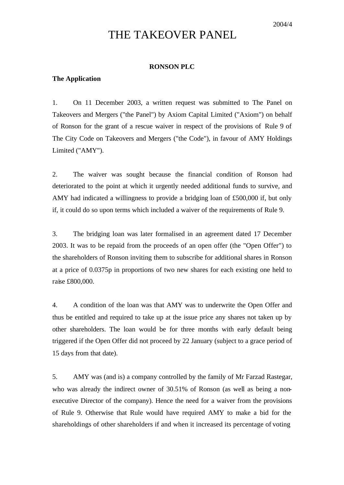# THE TAKEOVER PANEL

### **RONSON PLC**

## **The Application**

1. On 11 December 2003, a written request was submitted to The Panel on Takeovers and Mergers ("the Panel") by Axiom Capital Limited ("Axiom") on behalf of Ronson for the grant of a rescue waiver in respect of the provisions of Rule 9 of The City Code on Takeovers and Mergers ("the Code"), in favour of AMY Holdings Limited ("AMY").

2. The waiver was sought because the financial condition of Ronson had deteriorated to the point at which it urgently needed additional funds to survive, and AMY had indicated a willingness to provide a bridging loan of £500,000 if, but only if, it could do so upon terms which included a waiver of the requirements of Rule 9.

3. The bridging loan was later formalised in an agreement dated 17 December 2003. It was to be repaid from the proceeds of an open offer (the "Open Offer") to the shareholders of Ronson inviting them to subscribe for additional shares in Ronson at a price of 0.0375p in proportions of two new shares for each existing one held to raise £800,000.

4. A condition of the loan was that AMY was to underwrite the Open Offer and thus be entitled and required to take up at the issue price any shares not taken up by other shareholders. The loan would be for three months with early default being triggered if the Open Offer did not proceed by 22 January (subject to a grace period of 15 days from that date).

5. AMY was (and is) a company controlled by the family of Mr Farzad Rastegar, who was already the indirect owner of 30.51% of Ronson (as well as being a nonexecutive Director of the company). Hence the need for a waiver from the provisions of Rule 9. Otherwise that Rule would have required AMY to make a bid for the shareholdings of other shareholders if and when it increased its percentage of voting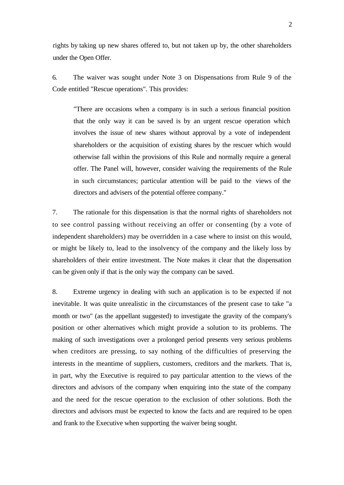rights by taking up new shares offered to, but not taken up by, the other shareholders under the Open Offer.

6. The waiver was sought under Note 3 on Dispensations from Rule 9 of the Code entitled "Rescue operations". This provides:

"There are occasions when a company is in such a serious financial position that the only way it can be saved is by an urgent rescue operation which involves the issue of new shares without approval by a vote of independent shareholders or the acquisition of existing shares by the rescuer which would otherwise fall within the provisions of this Rule and normally require a general offer. The Panel will, however, consider waiving the requirements of the Rule in such circumstances; particular attention will be paid to the views of the directors and advisers of the potential offeree company."

7. The rationale for this dispensation is that the normal rights of shareholders not to see control passing without receiving an offer or consenting (by a vote of independent shareholders) may be overridden in a case where to insist on this would, or might be likely to, lead to the insolvency of the company and the likely loss by shareholders of their entire investment. The Note makes it clear that the dispensation can be given only if that is the only way the company can be saved.

8. Extreme urgency in dealing with such an application is to be expected if not inevitable. It was quite unrealistic in the circumstances of the present case to take "a month or two" (as the appellant suggested) to investigate the gravity of the company's position or other alternatives which might provide a solution to its problems. The making of such investigations over a prolonged period presents very serious problems when creditors are pressing, to say nothing of the difficulties of preserving the interests in the meantime of suppliers, customers, creditors and the markets. That is, in part, why the Executive is required to pay particular attention to the views of the directors and advisors of the company when enquiring into the state of the company and the need for the rescue operation to the exclusion of other solutions. Both the directors and advisors must be expected to know the facts and are required to be open and frank to the Executive when supporting the waiver being sought.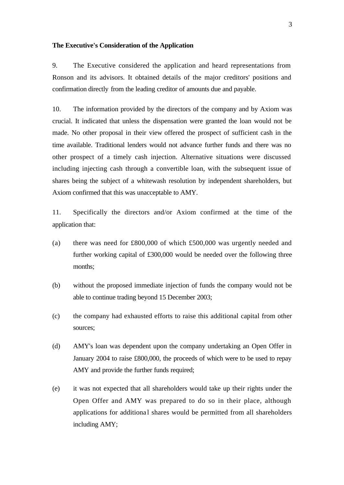#### **The Executive's Consideration of the Application**

9. The Executive considered the application and heard representations from Ronson and its advisors. It obtained details of the major creditors' positions and confirmation directly from the leading creditor of amounts due and payable.

10. The information provided by the directors of the company and by Axiom was crucial. It indicated that unless the dispensation were granted the loan would not be made. No other proposal in their view offered the prospect of sufficient cash in the time available. Traditional lenders would not advance further funds and there was no other prospect of a timely cash injection. Alternative situations were discussed including injecting cash through a convertible loan, with the subsequent issue of shares being the subject of a whitewash resolution by independent shareholders, but Axiom confirmed that this was unacceptable to AMY.

11. Specifically the directors and/or Axiom confirmed at the time of the application that:

- (a) there was need for £800,000 of which £500,000 was urgently needed and further working capital of £300,000 would be needed over the following three months;
- (b) without the proposed immediate injection of funds the company would not be able to continue trading beyond 15 December 2003;
- (c) the company had exhausted efforts to raise this additional capital from other sources;
- (d) AMY's loan was dependent upon the company undertaking an Open Offer in January 2004 to raise £800,000, the proceeds of which were to be used to repay AMY and provide the further funds required;
- (e) it was not expected that all shareholders would take up their rights under the Open Offer and AMY was prepared to do so in their place, although applications for additional shares would be permitted from all shareholders including AMY;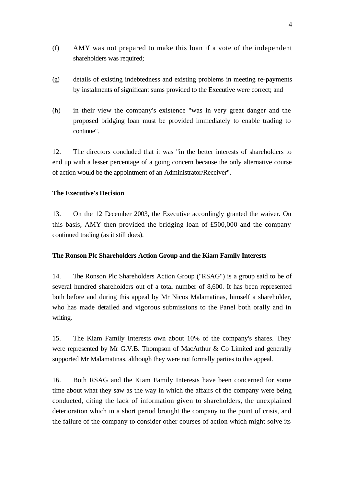- (f) AMY was not prepared to make this loan if a vote of the independent shareholders was required;
- (g) details of existing indebtedness and existing problems in meeting re-payments by instalments of significant sums provided to the Executive were correct; and
- (h) in their view the company's existence "was in very great danger and the proposed bridging loan must be provided immediately to enable trading to continue".

12. The directors concluded that it was "in the better interests of shareholders to end up with a lesser percentage of a going concern because the only alternative course of action would be the appointment of an Administrator/Receiver".

# **The Executive's Decision**

13. On the 12 December 2003, the Executive accordingly granted the waiver. On this basis, AMY then provided the bridging loan of £500,000 and the company continued trading (as it still does).

# **The Ronson Plc Shareholders Action Group and the Kiam Family Interests**

14. The Ronson Plc Shareholders Action Group ("RSAG") is a group said to be of several hundred shareholders out of a total number of 8,600. It has been represented both before and during this appeal by Mr Nicos Malamatinas, himself a shareholder, who has made detailed and vigorous submissions to the Panel both orally and in writing.

15. The Kiam Family Interests own about 10% of the company's shares. They were represented by Mr G.V.B. Thompson of MacArthur & Co Limited and generally supported Mr Malamatinas, although they were not formally parties to this appeal.

16. Both RSAG and the Kiam Family Interests have been concerned for some time about what they saw as the way in which the affairs of the company were being conducted, citing the lack of information given to shareholders, the unexplained deterioration which in a short period brought the company to the point of crisis, and the failure of the company to consider other courses of action which might solve its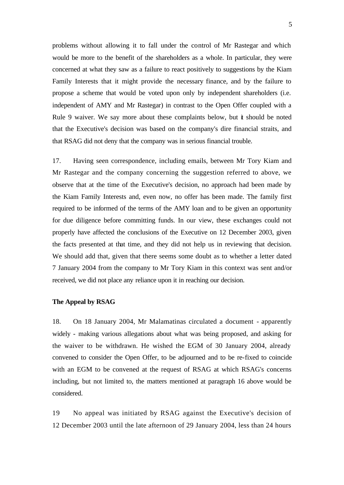problems without allowing it to fall under the control of Mr Rastegar and which would be more to the benefit of the shareholders as a whole. In particular, they were concerned at what they saw as a failure to react positively to suggestions by the Kiam Family Interests that it might provide the necessary finance, and by the failure to propose a scheme that would be voted upon only by independent shareholders (i.e. independent of AMY and Mr Rastegar) in contrast to the Open Offer coupled with a Rule 9 waiver. We say more about these complaints below, but  $\dot{\mathbf{r}}$  should be noted that the Executive's decision was based on the company's dire financial straits, and that RSAG did not deny that the company was in serious financial trouble.

17. Having seen correspondence, including emails, between Mr Tory Kiam and Mr Rastegar and the company concerning the suggestion referred to above, we observe that at the time of the Executive's decision, no approach had been made by the Kiam Family Interests and, even now, no offer has been made. The family first required to be informed of the terms of the AMY loan and to be given an opportunity for due diligence before committing funds. In our view, these exchanges could not properly have affected the conclusions of the Executive on 12 December 2003, given the facts presented at that time, and they did not help us in reviewing that decision. We should add that, given that there seems some doubt as to whether a letter dated 7 January 2004 from the company to Mr Tory Kiam in this context was sent and/or received, we did not place any reliance upon it in reaching our decision.

#### **The Appeal by RSAG**

18. On 18 January 2004, Mr Malamatinas circulated a document - apparently widely - making various allegations about what was being proposed, and asking for the waiver to be withdrawn. He wished the EGM of 30 January 2004, already convened to consider the Open Offer, to be adjourned and to be re-fixed to coincide with an EGM to be convened at the request of RSAG at which RSAG's concerns including, but not limited to, the matters mentioned at paragraph 16 above would be considered.

19 No appeal was initiated by RSAG against the Executive's decision of 12 December 2003 until the late afternoon of 29 January 2004, less than 24 hours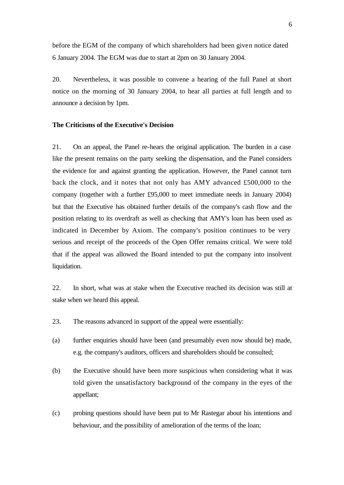before the EGM of the company of which shareholders had been given notice dated 6 January 2004. The EGM was due to start at 2pm on 30 January 2004.

20. Nevertheless, it was possible to convene a hearing of the full Panel at short notice on the morning of 30 January 2004, to hear all parties at full length and to announce a decision by 1pm.

## **The Criticisms of the Executive's Decision**

21. On an appeal, the Panel re-hears the original application. The burden in a case like the present remains on the party seeking the dispensation, and the Panel considers the evidence for and against granting the application. However, the Panel cannot turn back the clock, and it notes that not only has AMY advanced £500,000 to the company (together with a further £95,000 to meet immediate needs in January 2004) but that the Executive has obtained further details of the company's cash flow and the position relating to its overdraft as well as checking that AMY's loan has been used as indicated in December by Axiom. The company's position continues to be very serious and receipt of the proceeds of the Open Offer remains critical. We were told that if the appeal was allowed the Board intended to put the company into insolvent liquidation.

22. In short, what was at stake when the Executive reached its decision was still at stake when we heard this appeal.

- 23. The reasons advanced in support of the appeal were essentially:
- (a) further enquiries should have been (and presumably even now should be) made, e.g. the company's auditors, officers and shareholders should be consulted;
- (b) the Executive should have been more suspicious when considering what it was told given the unsatisfactory background of the company in the eyes of the appellant;
- (c) probing questions should have been put to Mr Rastegar about his intentions and behaviour, and the possibility of amelioration of the terms of the loan;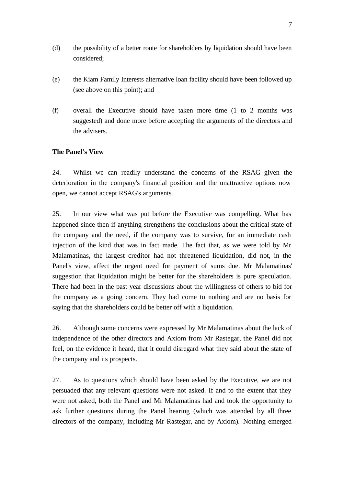- (d) the possibility of a better route for shareholders by liquidation should have been considered;
- (e) the Kiam Family Interests alternative loan facility should have been followed up (see above on this point); and
- (f) overall the Executive should have taken more time (1 to 2 months was suggested) and done more before accepting the arguments of the directors and the advisers.

# **The Panel's View**

24. Whilst we can readily understand the concerns of the RSAG given the deterioration in the company's financial position and the unattractive options now open, we cannot accept RSAG's arguments.

25. In our view what was put before the Executive was compelling. What has happened since then if anything strengthens the conclusions about the critical state of the company and the need, if the company was to survive, for an immediate cash injection of the kind that was in fact made. The fact that, as we were told by Mr Malamatinas, the largest creditor had not threatened liquidation, did not, in the Panel's view, affect the urgent need for payment of sums due. Mr Malamatinas' suggestion that liquidation might be better for the shareholders is pure speculation. There had been in the past year discussions about the willingness of others to bid for the company as a going concern. They had come to nothing and are no basis for saying that the shareholders could be better off with a liquidation.

26. Although some concerns were expressed by Mr Malamatinas about the lack of independence of the other directors and Axiom from Mr Rastegar, the Panel did not feel, on the evidence it heard, that it could disregard what they said about the state of the company and its prospects.

27. As to questions which should have been asked by the Executive, we are not persuaded that any relevant questions were not asked. If and to the extent that they were not asked, both the Panel and Mr Malamatinas had and took the opportunity to ask further questions during the Panel hearing (which was attended by all three directors of the company, including Mr Rastegar, and by Axiom). Nothing emerged